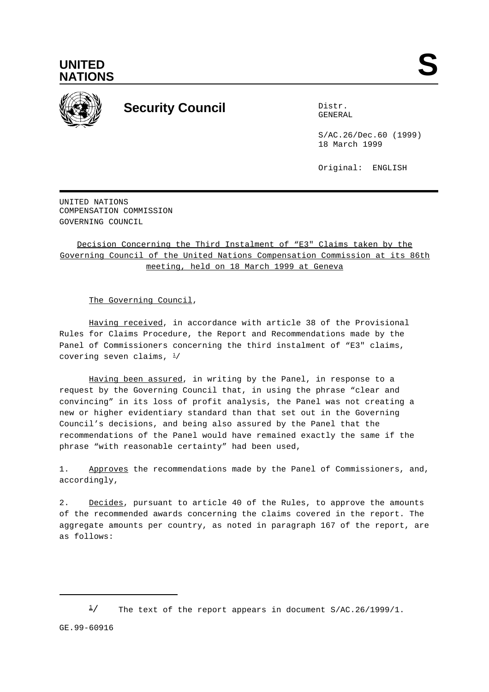



## **Security Council** Distribution of Distribution of Distribution of Distribution of Distribution of Distribution of Distribution of Distribution of Distribution of Distribution of Distribution of Distribution of Distributio

GENERAL

S/AC.26/Dec.60 (1999) 18 March 1999

Original: ENGLISH

UNITED NATIONS COMPENSATION COMMISSION GOVERNING COUNCIL

Decision Concerning the Third Instalment of "E3" Claims taken by the Governing Council of the United Nations Compensation Commission at its 86th meeting, held on 18 March 1999 at Geneva

The Governing Council,

Having received, in accordance with article 38 of the Provisional Rules for Claims Procedure, the Report and Recommendations made by the Panel of Commissioners concerning the third instalment of "E3" claims, covering seven claims,  $\frac{1}{2}$ 

Having been assured, in writing by the Panel, in response to a request by the Governing Council that, in using the phrase "clear and convincing" in its loss of profit analysis, the Panel was not creating a new or higher evidentiary standard than that set out in the Governing Council's decisions, and being also assured by the Panel that the recommendations of the Panel would have remained exactly the same if the phrase "with reasonable certainty" had been used,

1. Approves the recommendations made by the Panel of Commissioners, and, accordingly,

2. Decides, pursuant to article 40 of the Rules, to approve the amounts of the recommended awards concerning the claims covered in the report. The aggregate amounts per country, as noted in paragraph 167 of the report, are as follows:

 $\frac{1}{2}$  The text of the report appears in document S/AC.26/1999/1.